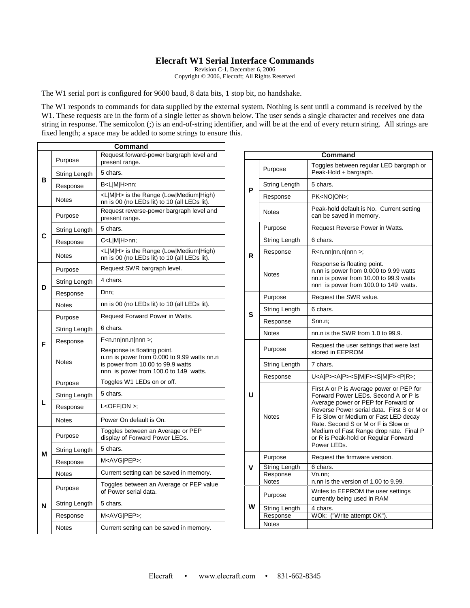## **Elecraft W1 Serial Interface Commands**

Revision C-1, December 6, 2006 Copyright © 2006, Elecraft; All Rights Reserved

The W1 serial port is configured for 9600 baud, 8 data bits, 1 stop bit, no handshake.

The W1 responds to commands for data supplied by the external system. Nothing is sent until a command is received by the W1. These requests are in the form of a single letter as shown below. The user sends a single character and receives one data string in response. The semicolon (;) is an end-of-string identifier, and will be at the end of every return string. All strings are fixed length; a space may be added to some strings to ensure this.

| Command |               |                                                                                                                                                          |  |  |
|---------|---------------|----------------------------------------------------------------------------------------------------------------------------------------------------------|--|--|
| в       | Purpose       | Request forward-power bargraph level and<br>present range.                                                                                               |  |  |
|         | String Length | 5 chars.                                                                                                                                                 |  |  |
|         | Response      | B <l m h>nn;</l m h>                                                                                                                                     |  |  |
|         | <b>Notes</b>  | <l m h> is the Range (Low Medium High)<br/>nn is 00 (no LEDs lit) to 10 (all LEDs lit).</l m h>                                                          |  |  |
| C       | Purpose       | Request reverse-power bargraph level and<br>present range.                                                                                               |  |  |
|         | String Length | 5 chars.                                                                                                                                                 |  |  |
|         | Response      | C <l m h>nn;</l m h>                                                                                                                                     |  |  |
|         | Notes         | <l m h> is the Range (Low Medium High)<br/>nn is 00 (no LEDs lit) to 10 (all LEDs lit).</l m h>                                                          |  |  |
| D       | Purpose       | Request SWR bargraph level.                                                                                                                              |  |  |
|         | String Length | 4 chars.                                                                                                                                                 |  |  |
|         | Response      | Dnn;                                                                                                                                                     |  |  |
|         | Notes         | nn is 00 (no LEDs lit) to 10 (all LEDs lit).                                                                                                             |  |  |
|         | Purpose       | Request Forward Power in Watts.                                                                                                                          |  |  |
| F       | String Length | 6 chars.                                                                                                                                                 |  |  |
|         | Response      | $F$ <n.nn nn.n nnn>;</n.nn nn.n nnn>                                                                                                                     |  |  |
|         | <b>Notes</b>  | Response is floating point.<br>n.nn is power from 0.000 to 9.99 watts nn.n<br>is power from 10.00 to 99.9 watts<br>nnn is power from 100.0 to 149 watts. |  |  |
|         | Purpose       | Toggles W1 LEDs on or off.                                                                                                                               |  |  |
|         | String Length | 5 chars.                                                                                                                                                 |  |  |
| L       | Response      | $L <$ OFF $ ON>$ ;                                                                                                                                       |  |  |
|         | Notes         | Power On default is On.                                                                                                                                  |  |  |
| М       | Purpose       | Toggles between an Average or PEP<br>display of Forward Power LEDs.                                                                                      |  |  |
|         | String Length | 5 chars.                                                                                                                                                 |  |  |
|         | Response      | M <avg pep>;</avg pep>                                                                                                                                   |  |  |
|         | Notes         | Current setting can be saved in memory.                                                                                                                  |  |  |
| N       | Purpose       | Toggles between an Average or PEP value<br>of Power serial data.                                                                                         |  |  |
|         | String Length | 5 chars.                                                                                                                                                 |  |  |
|         | Response      | M <avg pep>;</avg pep>                                                                                                                                   |  |  |
|         | Notes         | Current setting can be saved in memory.                                                                                                                  |  |  |

|   |                          | Command                                                                                                                                                                                                                                                                                                                                                 |
|---|--------------------------|---------------------------------------------------------------------------------------------------------------------------------------------------------------------------------------------------------------------------------------------------------------------------------------------------------------------------------------------------------|
| Р | Purpose                  | Toggles between regular LED bargraph or<br>Peak-Hold + bargraph.                                                                                                                                                                                                                                                                                        |
|   | String Length            | 5 chars.                                                                                                                                                                                                                                                                                                                                                |
|   | Response                 | PK <noion>;</noion>                                                                                                                                                                                                                                                                                                                                     |
|   | <b>Notes</b>             | Peak-hold default is No. Current setting<br>can be saved in memory.                                                                                                                                                                                                                                                                                     |
| R | Purpose                  | Request Reverse Power in Watts.                                                                                                                                                                                                                                                                                                                         |
|   | String Length            | 6 chars.                                                                                                                                                                                                                                                                                                                                                |
|   | Response                 | $R < n.nn nn.n nnn$ ;                                                                                                                                                                                                                                                                                                                                   |
|   | Notes                    | Response is floating point.<br>n.nn is power from 0.000 to 9.99 watts<br>nn.n is power from 10.00 to 99.9 watts<br>nnn is power from 100.0 to 149 watts.                                                                                                                                                                                                |
| s | Purpose                  | Request the SWR value.                                                                                                                                                                                                                                                                                                                                  |
|   | String Length            | 6 chars.                                                                                                                                                                                                                                                                                                                                                |
|   | Response                 | Snn.n;                                                                                                                                                                                                                                                                                                                                                  |
|   | <b>Notes</b>             | nn.n is the SWR from 1.0 to 99.9.                                                                                                                                                                                                                                                                                                                       |
| U | Purpose                  | Request the user settings that were last<br>stored in EEPROM                                                                                                                                                                                                                                                                                            |
|   | String Length            | 7 chars.                                                                                                                                                                                                                                                                                                                                                |
|   | Response                 | U <a p><a p><s m f><s m f><p r>;</p r></s m f></s m f></a p></a p>                                                                                                                                                                                                                                                                                      |
|   | <b>Notes</b>             | First A or P is Average power or PEP for<br>Forward Power LEDs. Second A or P is<br>Average power or PEP for Forward or<br>Reverse Power serial data. First S or M or<br>F is Slow or Medium or Fast LED decay<br>Rate. Second S or M or F is Slow or<br>Medium of Fast Range drop rate. Final P<br>or R is Peak-hold or Regular Forward<br>Power LEDs. |
|   | Purpose                  | Request the firmware version.                                                                                                                                                                                                                                                                                                                           |
|   | <b>String Length</b>     | 6 chars.                                                                                                                                                                                                                                                                                                                                                |
|   | Response<br><b>Notes</b> | Vn.nn;<br>n.nn is the version of 1.00 to 9.99.                                                                                                                                                                                                                                                                                                          |
|   | Purpose                  | Writes to EEPROM the user settings<br>currently being used in RAM                                                                                                                                                                                                                                                                                       |
|   | <b>String Length</b>     | 4 chars.                                                                                                                                                                                                                                                                                                                                                |
|   | Response                 | WOk; ("Write attempt OK").                                                                                                                                                                                                                                                                                                                              |
|   | <b>Notes</b>             |                                                                                                                                                                                                                                                                                                                                                         |